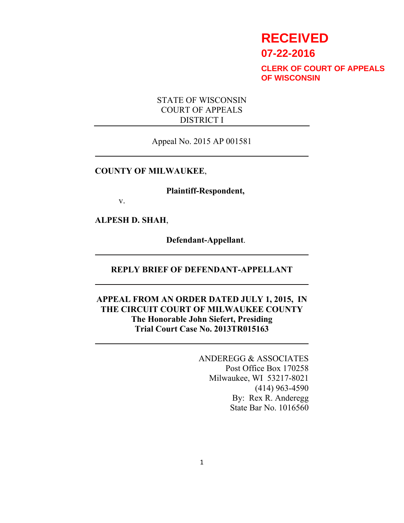# **RECEIVED**

**07-22-2016**

**CLERK OF COURT OF APPEALS OF WISCONSIN**

## STATE OF WISCONSIN COURT OF APPEALS DISTRICT I

Appeal No. 2015 AP 001581

### **COUNTY OF MILWAUKEE**,

**Plaintiff-Respondent,**

v.

**ALPESH D. SHAH**,

**Defendant-Appellant**.

## **REPLY BRIEF OF DEFENDANT-APPELLANT**

# **APPEAL FROM AN ORDER DATED JULY 1, 2015, IN THE CIRCUIT COURT OF MILWAUKEE COUNTY The Honorable John Siefert, Presiding Trial Court Case No. 2013TR015163**

ANDEREGG & ASSOCIATES Post Office Box 170258 Milwaukee, WI 53217-8021 (414) 963-4590 By: Rex R. Anderegg State Bar No. 1016560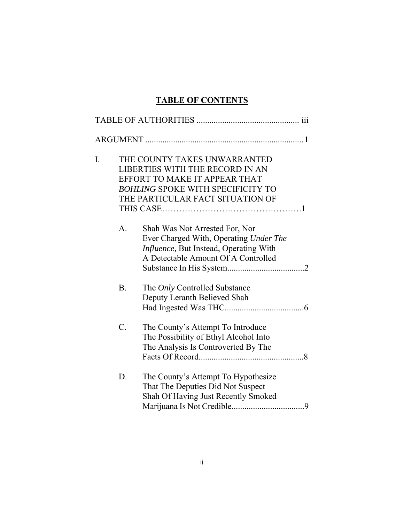# **TABLE OF CONTENTS**

| I. |                | THE COUNTY TAKES UNWARRANTED<br>LIBERTIES WITH THE RECORD IN AN<br>EFFORT TO MAKE IT APPEAR THAT<br><b>BOHLING SPOKE WITH SPECIFICITY TO</b><br>THE PARTICULAR FACT SITUATION OF |
|----|----------------|----------------------------------------------------------------------------------------------------------------------------------------------------------------------------------|
|    | $\mathbf{A}$ . | Shah Was Not Arrested For, Nor<br>Ever Charged With, Operating Under The<br>Influence, But Instead, Operating With<br>A Detectable Amount Of A Controlled                        |
|    | <b>B.</b>      | The Only Controlled Substance<br>Deputy Leranth Believed Shah                                                                                                                    |
|    | C.             | The County's Attempt To Introduce<br>The Possibility of Ethyl Alcohol Into<br>The Analysis Is Controverted By The                                                                |
|    | D.             | The County's Attempt To Hypothesize<br>That The Deputies Did Not Suspect<br>Shah Of Having Just Recently Smoked                                                                  |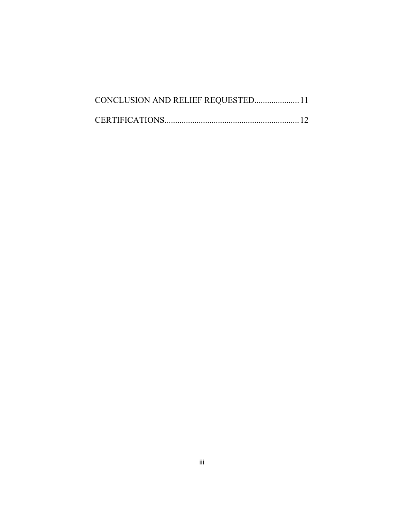| CONCLUSION AND RELIEF REQUESTED 11 |  |
|------------------------------------|--|
|                                    |  |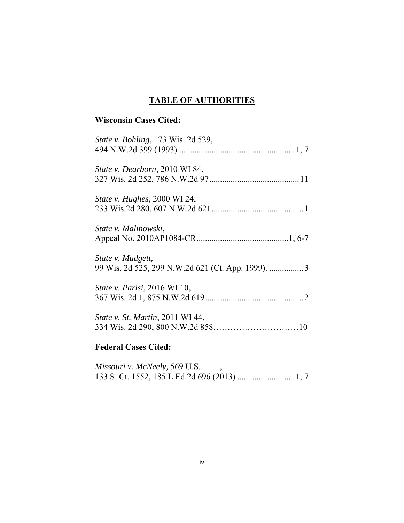# **TABLE OF AUTHORITIES**

# **Wisconsin Cases Cited:**

| <b>Federal Cases Cited:</b>                |
|--------------------------------------------|
| <i>State v. St. Martin</i> , 2011 WI 44,   |
| <i>State v. Parisi</i> , 2016 WI 10,       |
| State v. Mudgett,                          |
| State v. Malinowski,                       |
| <i>State v. Hughes</i> , 2000 WI 24,       |
| <i>State v. Dearborn, 2010 WI 84,</i>      |
| <i>State v. Bohling</i> , 173 Wis. 2d 529, |

*Missouri v. McNeely,* 569 U.S. ––––, 133 S. Ct. 1552, 185 L.Ed.2d 696 (2013) ........................... 1, 7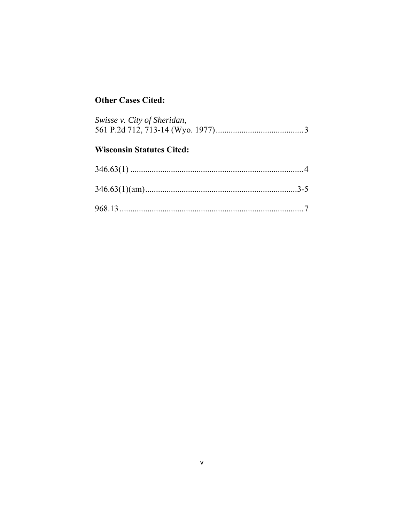# **Other Cases Cited:**

| Swisse v. City of Sheridan,      |  |
|----------------------------------|--|
| <b>Wisconsin Statutes Cited:</b> |  |
|                                  |  |
|                                  |  |
|                                  |  |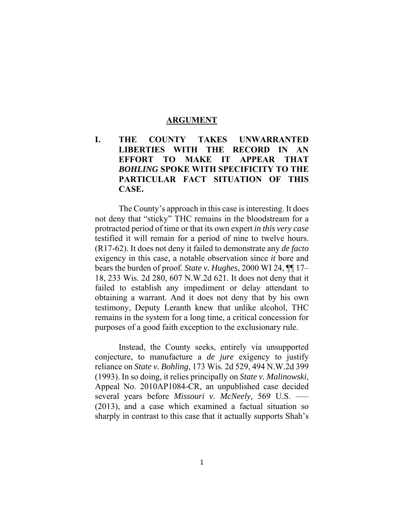#### **ARGUMENT**

# **I. THE COUNTY TAKES UNWARRANTED LIBERTIES WITH THE RECORD IN AN EFFORT TO MAKE IT APPEAR THAT**  *BOHLING* **SPOKE WITH SPECIFICITY TO THE PARTICULAR FACT SITUATION OF THIS CASE.**

The County's approach in this case is interesting. It does not deny that "sticky" THC remains in the bloodstream for a protracted period of time or that its own expert *in this very case* testified it will remain for a period of nine to twelve hours. (R17-62). It does not deny it failed to demonstrate any *de facto*  exigency in this case, a notable observation since *it* bore and bears the burden of proof. *State v. Hughes*, 2000 WI 24, ¶¶ 17– 18, 233 Wis. 2d 280, 607 N.W.2d 621. It does not deny that it failed to establish any impediment or delay attendant to obtaining a warrant. And it does not deny that by his own testimony, Deputy Leranth knew that unlike alcohol, THC remains in the system for a long time, a critical concession for purposes of a good faith exception to the exclusionary rule.

 Instead, the County seeks, entirely via unsupported conjecture, to manufacture a *de jure* exigency to justify reliance on *State v. Bohling*, 173 Wis. 2d 529, 494 N.W.2d 399 (1993). In so doing, it relies principally on *State v. Malinowski*, Appeal No. 2010AP1084-CR, an unpublished case decided several years before *Missouri v. McNeely,* 569 U.S. ––– (2013), and a case which examined a factual situation so sharply in contrast to this case that it actually supports Shah's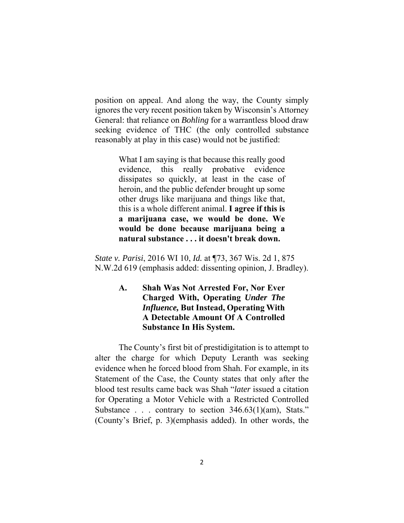position on appeal. And along the way, the County simply ignores the very recent position taken by Wisconsin's Attorney General: that reliance on *Bohling* for a warrantless blood draw seeking evidence of THC (the only controlled substance reasonably at play in this case) would not be justified:

> What I am saying is that because this really good evidence, this really probative evidence dissipates so quickly, at least in the case of heroin, and the public defender brought up some other drugs like marijuana and things like that, this is a whole different animal. **I agree if this is a marijuana case, we would be done. We would be done because marijuana being a natural substance . . . it doesn't break down.**

*State v. Parisi*, 2016 WI 10, *Id.* at ¶73, 367 Wis. 2d 1, 875 N.W.2d 619 (emphasis added: dissenting opinion, J. Bradley).

# **A. Shah Was Not Arrested For, Nor Ever Charged With, Operating** *Under The Influence,* **But Instead, Operating With A Detectable Amount Of A Controlled Substance In His System.**

The County's first bit of prestidigitation is to attempt to alter the charge for which Deputy Leranth was seeking evidence when he forced blood from Shah. For example, in its Statement of the Case, the County states that only after the blood test results came back was Shah "*later* issued a citation for Operating a Motor Vehicle with a Restricted Controlled Substance . . . contrary to section  $346.63(1)(\text{am})$ , Stats." (County's Brief, p. 3)(emphasis added). In other words, the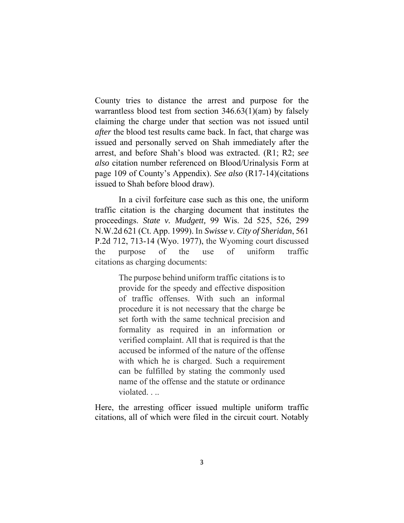County tries to distance the arrest and purpose for the warrantless blood test from section 346.63(1)(am) by falsely claiming the charge under that section was not issued until *after* the blood test results came back. In fact, that charge was issued and personally served on Shah immediately after the arrest, and before Shah's blood was extracted. (R1; R2; *see also* citation number referenced on Blood/Urinalysis Form at page 109 of County's Appendix). *See also* (R17-14)(citations issued to Shah before blood draw).

 In a civil forfeiture case such as this one, the uniform traffic citation is the charging document that institutes the proceedings. *State v. Mudgett,* 99 Wis. 2d 525, 526, 299 N.W.2d 621 (Ct. App. 1999). In *Swisse v. City of Sheridan*, 561 P.2d 712, 713-14 (Wyo. 1977), the Wyoming court discussed the purpose of the use of uniform traffic citations as charging documents:

> The purpose behind uniform traffic citations is to provide for the speedy and effective disposition of traffic offenses. With such an informal procedure it is not necessary that the charge be set forth with the same technical precision and formality as required in an information or verified complaint. All that is required is that the accused be informed of the nature of the offense with which he is charged. Such a requirement can be fulfilled by stating the commonly used name of the offense and the statute or ordinance violated. . ..

Here, the arresting officer issued multiple uniform traffic citations, all of which were filed in the circuit court. Notably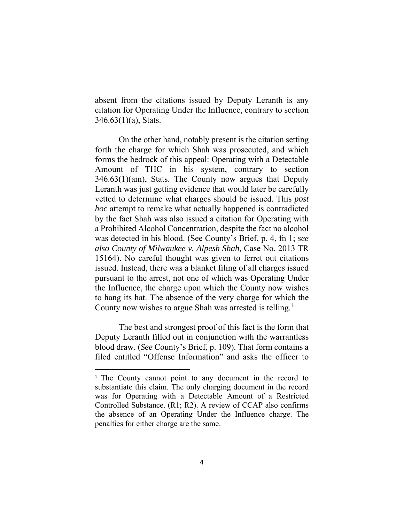absent from the citations issued by Deputy Leranth is any citation for Operating Under the Influence, contrary to section  $346.63(1)(a)$ , Stats.

 On the other hand, notably present is the citation setting forth the charge for which Shah was prosecuted, and which forms the bedrock of this appeal: Operating with a Detectable Amount of THC in his system, contrary to section 346.63(1)(am), Stats. The County now argues that Deputy Leranth was just getting evidence that would later be carefully vetted to determine what charges should be issued. This *post hoc* attempt to remake what actually happened is contradicted by the fact Shah was also issued a citation for Operating with a Prohibited Alcohol Concentration, despite the fact no alcohol was detected in his blood. (See County's Brief, p. 4, fn 1; *see also County of Milwaukee v. Alpesh Shah,* Case No. 2013 TR 15164). No careful thought was given to ferret out citations issued. Instead, there was a blanket filing of all charges issued pursuant to the arrest, not one of which was Operating Under the Influence, the charge upon which the County now wishes to hang its hat. The absence of the very charge for which the County now wishes to argue Shah was arrested is telling.<sup>1</sup>

 The best and strongest proof of this fact is the form that Deputy Leranth filled out in conjunction with the warrantless blood draw. (*See* County's Brief, p. 109). That form contains a filed entitled "Offense Information" and asks the officer to

<sup>&</sup>lt;sup>1</sup> The County cannot point to any document in the record to substantiate this claim. The only charging document in the record was for Operating with a Detectable Amount of a Restricted Controlled Substance. (R1; R2). A review of CCAP also confirms the absence of an Operating Under the Influence charge. The penalties for either charge are the same.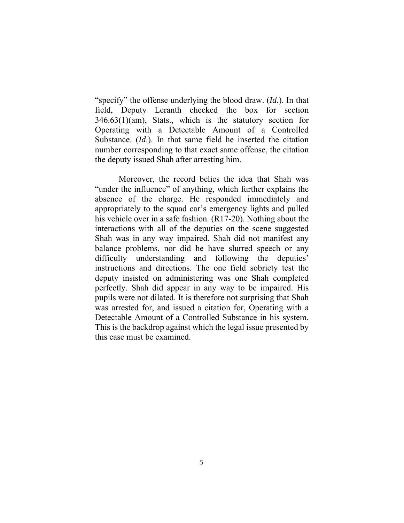"specify" the offense underlying the blood draw. (*Id*.). In that field, Deputy Leranth checked the box for section 346.63(1)(am), Stats., which is the statutory section for Operating with a Detectable Amount of a Controlled Substance. (*Id*.). In that same field he inserted the citation number corresponding to that exact same offense, the citation the deputy issued Shah after arresting him.

 Moreover, the record belies the idea that Shah was "under the influence" of anything, which further explains the absence of the charge. He responded immediately and appropriately to the squad car's emergency lights and pulled his vehicle over in a safe fashion. (R17-20). Nothing about the interactions with all of the deputies on the scene suggested Shah was in any way impaired. Shah did not manifest any balance problems, nor did he have slurred speech or any difficulty understanding and following the deputies' instructions and directions. The one field sobriety test the deputy insisted on administering was one Shah completed perfectly. Shah did appear in any way to be impaired. His pupils were not dilated. It is therefore not surprising that Shah was arrested for, and issued a citation for, Operating with a Detectable Amount of a Controlled Substance in his system. This is the backdrop against which the legal issue presented by this case must be examined.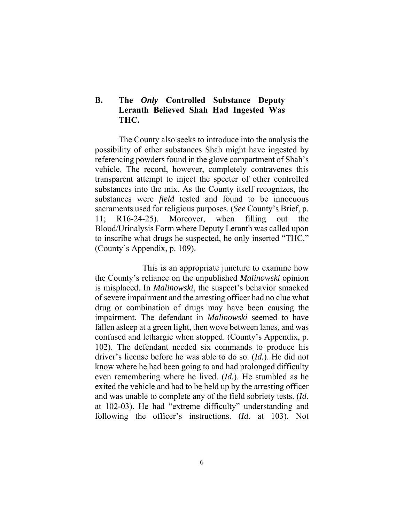## **B. The** *Only* **Controlled Substance Deputy Leranth Believed Shah Had Ingested Was THC.**

The County also seeks to introduce into the analysis the possibility of other substances Shah might have ingested by referencing powders found in the glove compartment of Shah's vehicle. The record, however, completely contravenes this transparent attempt to inject the specter of other controlled substances into the mix. As the County itself recognizes, the substances were *field* tested and found to be innocuous sacraments used for religious purposes. (*See* County's Brief, p. 11; R16-24-25). Moreover, when filling out the Blood/Urinalysis Form where Deputy Leranth was called upon to inscribe what drugs he suspected, he only inserted "THC." (County's Appendix, p. 109).

 This is an appropriate juncture to examine how the County's reliance on the unpublished *Malinowski* opinion is misplaced. In *Malinowski*, the suspect's behavior smacked of severe impairment and the arresting officer had no clue what drug or combination of drugs may have been causing the impairment. The defendant in *Malinowski* seemed to have fallen asleep at a green light, then wove between lanes, and was confused and lethargic when stopped. (County's Appendix, p. 102). The defendant needed six commands to produce his driver's license before he was able to do so. (*Id.*). He did not know where he had been going to and had prolonged difficulty even remembering where he lived. (*Id.*). He stumbled as he exited the vehicle and had to be held up by the arresting officer and was unable to complete any of the field sobriety tests. (*Id.* at 102-03). He had "extreme difficulty" understanding and following the officer's instructions. (*Id.* at 103). Not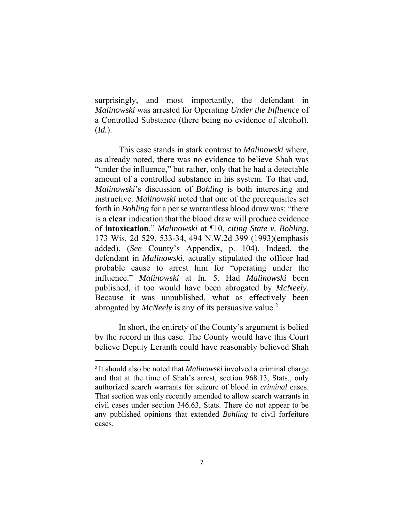surprisingly, and most importantly, the defendant in *Malinowski* was arrested for Operating *Under the Influence* of a Controlled Substance (there being no evidence of alcohol). (*Id.*).

 This case stands in stark contrast to *Malinowski* where, as already noted, there was no evidence to believe Shah was "under the influence," but rather, only that he had a detectable amount of a controlled substance in his system. To that end, *Malinowski*'s discussion of *Bohling* is both interesting and instructive. *Malinowski* noted that one of the prerequisites set forth in *Bohling* for a per se warrantless blood draw was: "there is a **clear** indication that the blood draw will produce evidence of **intoxication**." *Malinowski* at ¶10, *citing State v. Bohling*, 173 Wis. 2d 529, 533-34, 494 N.W.2d 399 (1993)(emphasis added). (*See* County's Appendix, p. 104). Indeed, the defendant in *Malinowski*, actually stipulated the officer had probable cause to arrest him for "operating under the influence." *Malinowski* at fn. 5. Had *Malinowski* been published, it too would have been abrogated by *McNeely*. Because it was unpublished, what as effectively been abrogated by *McNeely* is any of its persuasive value.<sup>2</sup>

 In short, the entirety of the County's argument is belied by the record in this case. The County would have this Court believe Deputy Leranth could have reasonably believed Shah

<sup>2</sup> It should also be noted that *Malinowski* involved a criminal charge and that at the time of Shah's arrest, section 968.13, Stats., only authorized search warrants for seizure of blood in *criminal* cases. That section was only recently amended to allow search warrants in civil cases under section 346.63, Stats. There do not appear to be any published opinions that extended *Bohling* to civil forfeiture cases.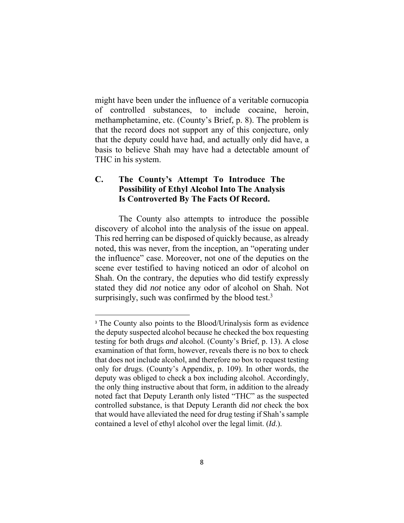might have been under the influence of a veritable cornucopia of controlled substances, to include cocaine, heroin, methamphetamine, etc. (County's Brief, p. 8). The problem is that the record does not support any of this conjecture, only that the deputy could have had, and actually only did have, a basis to believe Shah may have had a detectable amount of THC in his system.

## **C. The County's Attempt To Introduce The Possibility of Ethyl Alcohol Into The Analysis Is Controverted By The Facts Of Record.**

The County also attempts to introduce the possible discovery of alcohol into the analysis of the issue on appeal. This red herring can be disposed of quickly because, as already noted, this was never, from the inception, an "operating under the influence" case. Moreover, not one of the deputies on the scene ever testified to having noticed an odor of alcohol on Shah. On the contrary, the deputies who did testify expressly stated they did *not* notice any odor of alcohol on Shah. Not surprisingly, such was confirmed by the blood test. $3$ 

<sup>&</sup>lt;sup>3</sup> The County also points to the Blood/Urinalysis form as evidence the deputy suspected alcohol because he checked the box requesting testing for both drugs *and* alcohol. (County's Brief, p. 13). A close examination of that form, however, reveals there is no box to check that does not include alcohol, and therefore no box to request testing only for drugs. (County's Appendix, p. 109). In other words, the deputy was obliged to check a box including alcohol. Accordingly, the only thing instructive about that form, in addition to the already noted fact that Deputy Leranth only listed "THC" as the suspected controlled substance, is that Deputy Leranth did *not* check the box that would have alleviated the need for drug testing if Shah's sample contained a level of ethyl alcohol over the legal limit. (*Id*.).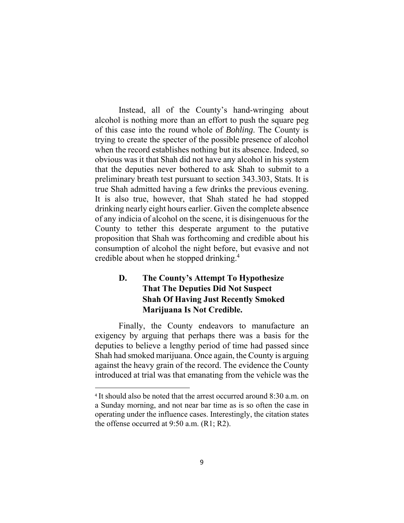Instead, all of the County's hand-wringing about alcohol is nothing more than an effort to push the square peg of this case into the round whole of *Bohling*. The County is trying to create the specter of the possible presence of alcohol when the record establishes nothing but its absence. Indeed, so obvious was it that Shah did not have any alcohol in his system that the deputies never bothered to ask Shah to submit to a preliminary breath test pursuant to section 343.303, Stats. It is true Shah admitted having a few drinks the previous evening. It is also true, however, that Shah stated he had stopped drinking nearly eight hours earlier. Given the complete absence of any indicia of alcohol on the scene, it is disingenuous for the County to tether this desperate argument to the putative proposition that Shah was forthcoming and credible about his consumption of alcohol the night before, but evasive and not credible about when he stopped drinking.4

# **D. The County's Attempt To Hypothesize That The Deputies Did Not Suspect Shah Of Having Just Recently Smoked Marijuana Is Not Credible.**

Finally, the County endeavors to manufacture an exigency by arguing that perhaps there was a basis for the deputies to believe a lengthy period of time had passed since Shah had smoked marijuana. Once again, the County is arguing against the heavy grain of the record. The evidence the County introduced at trial was that emanating from the vehicle was the

<sup>4</sup> It should also be noted that the arrest occurred around 8:30 a.m. on a Sunday morning, and not near bar time as is so often the case in operating under the influence cases. Interestingly, the citation states the offense occurred at 9:50 a.m. (R1; R2).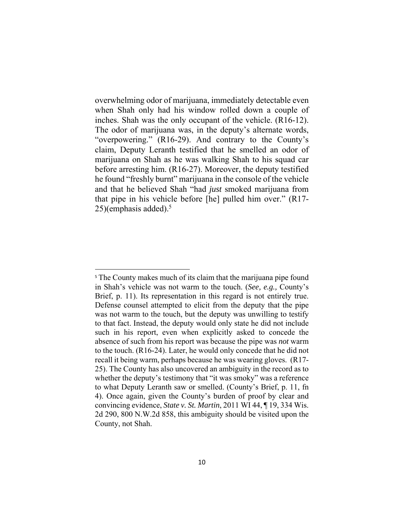overwhelming odor of marijuana, immediately detectable even when Shah only had his window rolled down a couple of inches. Shah was the only occupant of the vehicle. (R16-12). The odor of marijuana was, in the deputy's alternate words, "overpowering." (R16-29). And contrary to the County's claim, Deputy Leranth testified that he smelled an odor of marijuana on Shah as he was walking Shah to his squad car before arresting him. (R16-27). Moreover, the deputy testified he found "freshly burnt" marijuana in the console of the vehicle and that he believed Shah "had *just* smoked marijuana from that pipe in his vehicle before [he] pulled him over." (R17-  $25$ )(emphasis added).<sup>5</sup>

<sup>&</sup>lt;sup>5</sup> The County makes much of its claim that the marijuana pipe found in Shah's vehicle was not warm to the touch. (*See, e.g.,* County's Brief, p. 11). Its representation in this regard is not entirely true. Defense counsel attempted to elicit from the deputy that the pipe was not warm to the touch, but the deputy was unwilling to testify to that fact. Instead, the deputy would only state he did not include such in his report, even when explicitly asked to concede the absence of such from his report was because the pipe was *not* warm to the touch. (R16-24). Later, he would only concede that he did not recall it being warm, perhaps because he was wearing gloves. (R17- 25). The County has also uncovered an ambiguity in the record as to whether the deputy's testimony that "it was smoky" was a reference to what Deputy Leranth saw or smelled. (County's Brief, p. 11, fn 4). Once again, given the County's burden of proof by clear and convincing evidence, *State v. St. Martin*, 2011 WI 44, ¶ 19, 334 Wis. 2d 290, 800 N.W.2d 858, this ambiguity should be visited upon the County, not Shah.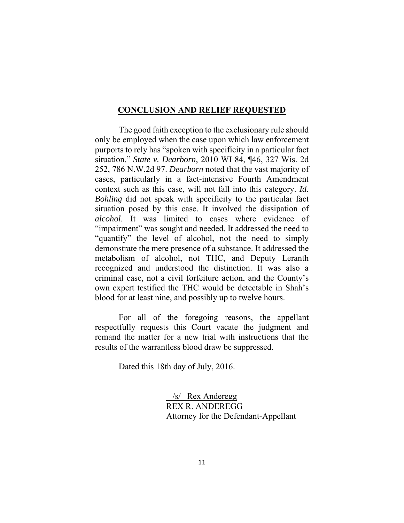#### **CONCLUSION AND RELIEF REQUESTED**

 The good faith exception to the exclusionary rule should only be employed when the case upon which law enforcement purports to rely has "spoken with specificity in a particular fact situation." *State v. Dearborn*, 2010 WI 84, ¶46, 327 Wis. 2d 252, 786 N.W.2d 97. *Dearborn* noted that the vast majority of cases, particularly in a fact-intensive Fourth Amendment context such as this case, will not fall into this category. *Id*. *Bohling* did not speak with specificity to the particular fact situation posed by this case. It involved the dissipation of *alcohol*. It was limited to cases where evidence of "impairment" was sought and needed. It addressed the need to "quantify" the level of alcohol, not the need to simply demonstrate the mere presence of a substance. It addressed the metabolism of alcohol, not THC, and Deputy Leranth recognized and understood the distinction. It was also a criminal case, not a civil forfeiture action, and the County's own expert testified the THC would be detectable in Shah's blood for at least nine, and possibly up to twelve hours.

 For all of the foregoing reasons, the appellant respectfully requests this Court vacate the judgment and remand the matter for a new trial with instructions that the results of the warrantless blood draw be suppressed.

Dated this 18th day of July, 2016.

 /s/ Rex Anderegg REX R. ANDEREGG Attorney for the Defendant-Appellant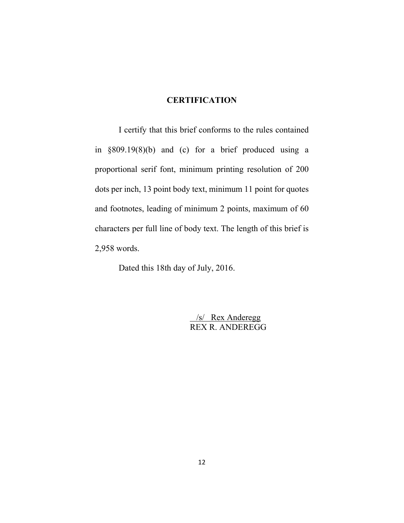## **CERTIFICATION**

 I certify that this brief conforms to the rules contained in §809.19(8)(b) and (c) for a brief produced using a proportional serif font, minimum printing resolution of 200 dots per inch, 13 point body text, minimum 11 point for quotes and footnotes, leading of minimum 2 points, maximum of 60 characters per full line of body text. The length of this brief is 2,958 words.

Dated this 18th day of July, 2016.

 /s/ Rex Anderegg REX R. ANDEREGG